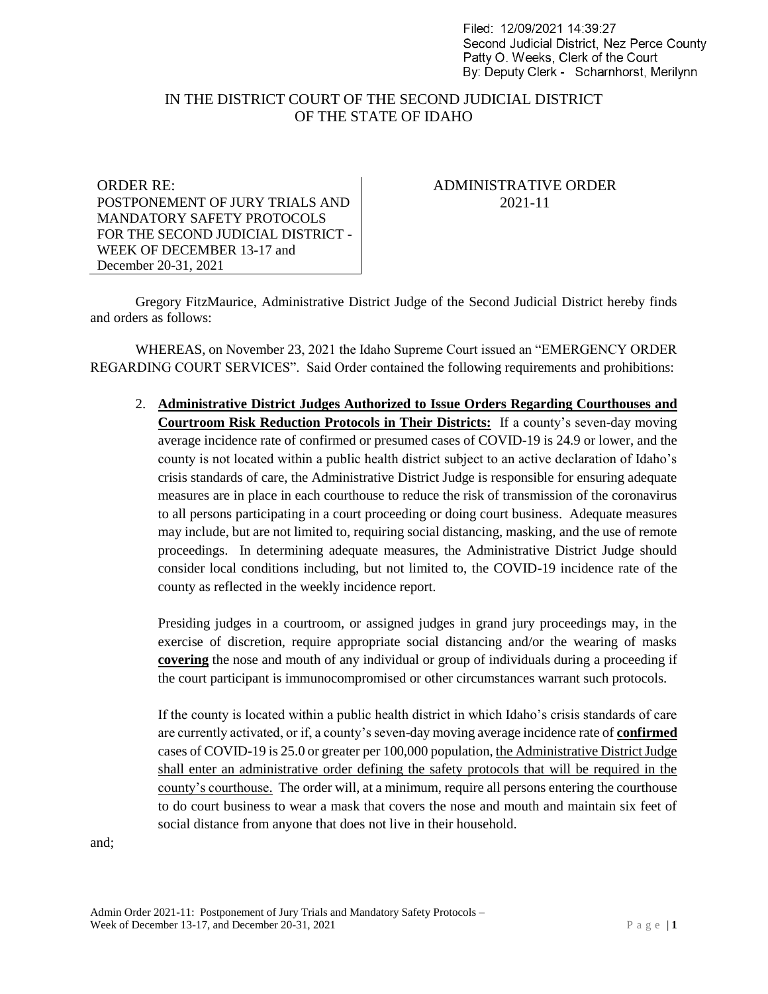Filed: 12/09/2021 14:39:27 Second Judicial District. Nez Perce County Patty O. Weeks, Clerk of the Court By: Deputy Clerk - Scharnhorst, Merilynn

## IN THE DISTRICT COURT OF THE SECOND JUDICIAL DISTRICT OF THE STATE OF IDAHO

ORDER RE: POSTPONEMENT OF JURY TRIALS AND MANDATORY SAFETY PROTOCOLS FOR THE SECOND JUDICIAL DISTRICT - WEEK OF DECEMBER 13-17 and December 20-31, 2021

## ADMINISTRATIVE ORDER 2021-11

Gregory FitzMaurice, Administrative District Judge of the Second Judicial District hereby finds and orders as follows:

WHEREAS, on November 23, 2021 the Idaho Supreme Court issued an "EMERGENCY ORDER REGARDING COURT SERVICES". Said Order contained the following requirements and prohibitions:

2. **Administrative District Judges Authorized to Issue Orders Regarding Courthouses and Courtroom Risk Reduction Protocols in Their Districts:** If a county's seven-day moving average incidence rate of confirmed or presumed cases of COVID-19 is 24.9 or lower, and the county is not located within a public health district subject to an active declaration of Idaho's crisis standards of care, the Administrative District Judge is responsible for ensuring adequate measures are in place in each courthouse to reduce the risk of transmission of the coronavirus to all persons participating in a court proceeding or doing court business. Adequate measures may include, but are not limited to, requiring social distancing, masking, and the use of remote proceedings. In determining adequate measures, the Administrative District Judge should consider local conditions including, but not limited to, the COVID-19 incidence rate of the county as reflected in the weekly incidence report.

Presiding judges in a courtroom, or assigned judges in grand jury proceedings may, in the exercise of discretion, require appropriate social distancing and/or the wearing of masks **covering** the nose and mouth of any individual or group of individuals during a proceeding if the court participant is immunocompromised or other circumstances warrant such protocols.

If the county is located within a public health district in which Idaho's crisis standards of care are currently activated, or if, a county's seven-day moving average incidence rate of **confirmed** cases of COVID-19 is 25.0 or greater per 100,000 population, the Administrative District Judge shall enter an administrative order defining the safety protocols that will be required in the county's courthouse. The order will, at a minimum, require all persons entering the courthouse to do court business to wear a mask that covers the nose and mouth and maintain six feet of social distance from anyone that does not live in their household.

and;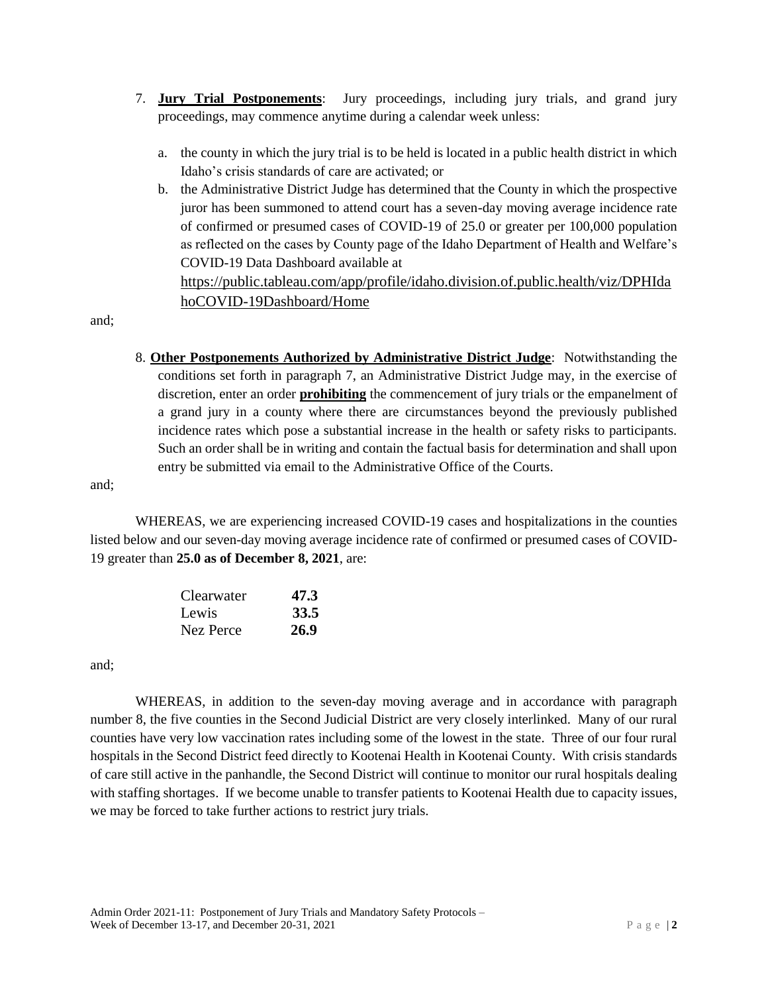- 7. **Jury Trial Postponements**: Jury proceedings, including jury trials, and grand jury proceedings, may commence anytime during a calendar week unless:
	- a. the county in which the jury trial is to be held is located in a public health district in which Idaho's crisis standards of care are activated; or
	- b. the Administrative District Judge has determined that the County in which the prospective juror has been summoned to attend court has a seven-day moving average incidence rate of confirmed or presumed cases of COVID-19 of 25.0 or greater per 100,000 population as reflected on the cases by County page of the Idaho Department of Health and Welfare's COVID-19 Data Dashboard available at [https://public.tableau.com/app/profile/idaho.division.of.public.health/viz/DPHIda](https://public.tableau.com/app/profile/idaho.division.of.public.health/viz/DPHIdahoCOVID-19Dashboard/Home)

[hoCOVID-19Dashboard/Home](https://public.tableau.com/app/profile/idaho.division.of.public.health/viz/DPHIdahoCOVID-19Dashboard/Home)

and;

8. **Other Postponements Authorized by Administrative District Judge**: Notwithstanding the conditions set forth in paragraph 7, an Administrative District Judge may, in the exercise of discretion, enter an order **prohibiting** the commencement of jury trials or the empanelment of a grand jury in a county where there are circumstances beyond the previously published incidence rates which pose a substantial increase in the health or safety risks to participants. Such an order shall be in writing and contain the factual basis for determination and shall upon entry be submitted via email to the Administrative Office of the Courts.

and;

WHEREAS, we are experiencing increased COVID-19 cases and hospitalizations in the counties listed below and our seven-day moving average incidence rate of confirmed or presumed cases of COVID-19 greater than **25.0 as of December 8, 2021**, are:

| <b>Clearwater</b> | 47.3 |
|-------------------|------|
| Lewis             | 33.5 |
| Nez Perce         | 26.9 |

and;

WHEREAS, in addition to the seven-day moving average and in accordance with paragraph number 8, the five counties in the Second Judicial District are very closely interlinked. Many of our rural counties have very low vaccination rates including some of the lowest in the state. Three of our four rural hospitals in the Second District feed directly to Kootenai Health in Kootenai County. With crisis standards of care still active in the panhandle, the Second District will continue to monitor our rural hospitals dealing with staffing shortages. If we become unable to transfer patients to Kootenai Health due to capacity issues, we may be forced to take further actions to restrict jury trials.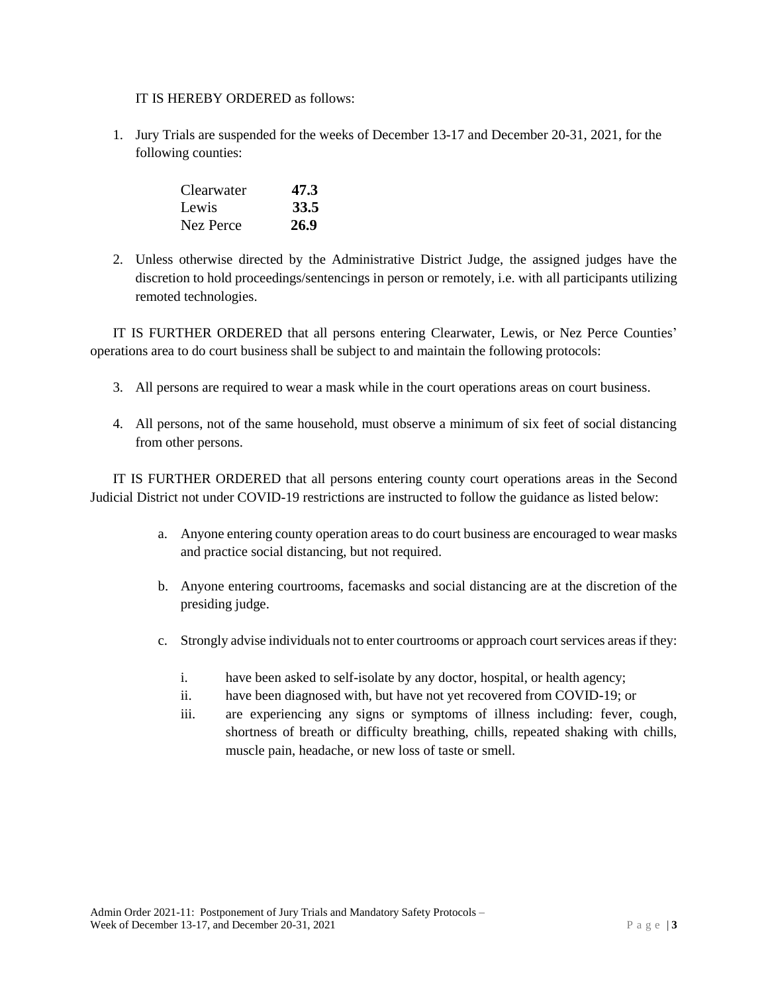IT IS HEREBY ORDERED as follows:

1. Jury Trials are suspended for the weeks of December 13-17 and December 20-31, 2021, for the following counties:

| <b>Clearwater</b> | 47.3 |
|-------------------|------|
| Lewis             | 33.5 |
| Nez Perce         | 26.9 |

2. Unless otherwise directed by the Administrative District Judge, the assigned judges have the discretion to hold proceedings/sentencings in person or remotely, i.e. with all participants utilizing remoted technologies.

IT IS FURTHER ORDERED that all persons entering Clearwater, Lewis, or Nez Perce Counties' operations area to do court business shall be subject to and maintain the following protocols:

- 3. All persons are required to wear a mask while in the court operations areas on court business.
- 4. All persons, not of the same household, must observe a minimum of six feet of social distancing from other persons.

IT IS FURTHER ORDERED that all persons entering county court operations areas in the Second Judicial District not under COVID-19 restrictions are instructed to follow the guidance as listed below:

- a. Anyone entering county operation areas to do court business are encouraged to wear masks and practice social distancing, but not required.
- b. Anyone entering courtrooms, facemasks and social distancing are at the discretion of the presiding judge.
- c. Strongly advise individuals not to enter courtrooms or approach court services areas if they:
	- i. have been asked to self-isolate by any doctor, hospital, or health agency;
	- ii. have been diagnosed with, but have not yet recovered from COVID-19; or
	- iii. are experiencing any signs or symptoms of illness including: fever, cough, shortness of breath or difficulty breathing, chills, repeated shaking with chills, muscle pain, headache, or new loss of taste or smell.